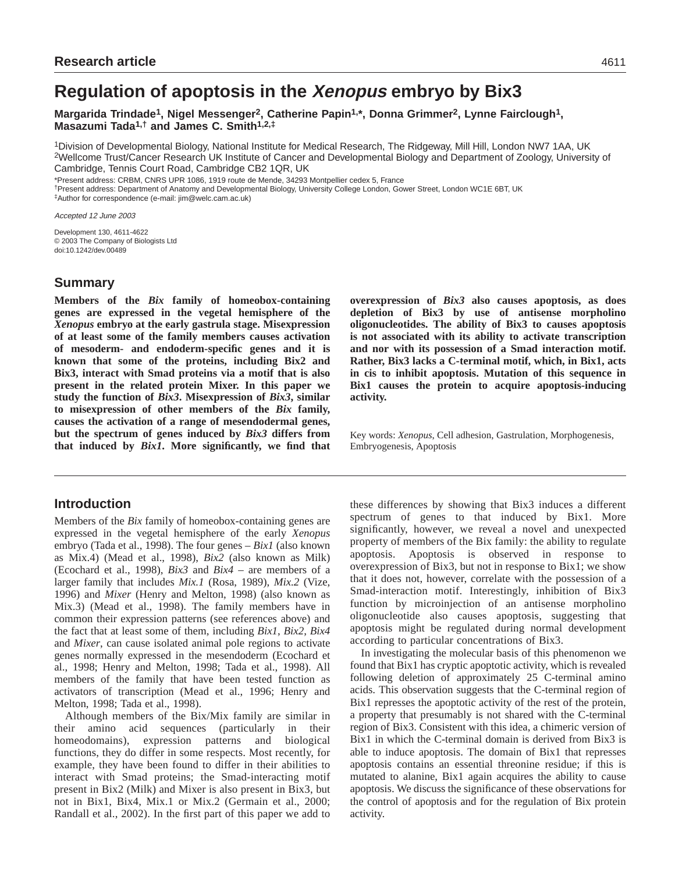# **Regulation of apoptosis in the Xenopus embryo by Bix3**

Margarida Trindade<sup>1</sup>, Nigel Messenger<sup>2</sup>, Catherine Papin<sup>1,\*</sup>, Donna Grimmer<sup>2</sup>, Lynne Fairclough<sup>1</sup>, **Masazumi Tada1,† and James C. Smith1,2,‡**

1Division of Developmental Biology, National Institute for Medical Research, The Ridgeway, Mill Hill, London NW7 1AA, UK 2Wellcome Trust/Cancer Research UK Institute of Cancer and Developmental Biology and Department of Zoology, University of Cambridge, Tennis Court Road, Cambridge CB2 1QR, UK

\*Present address: CRBM, CNRS UPR 1086, 1919 route de Mende, 34293 Montpellier cedex 5, France

†Present address: Department of Anatomy and Developmental Biology, University College London, Gower Street, London WC1E 6BT, UK ‡Author for correspondence (e-mail: jim@welc.cam.ac.uk)

Accepted 12 June 2003

Development 130, 4611-4622 © 2003 The Company of Biologists Ltd doi:10.1242/dev.00489

# **Summary**

**Members of the** *Bix* **family of homeobox-containing genes are expressed in the vegetal hemisphere of the** *Xenopus* **embryo at the early gastrula stage. Misexpression of at least some of the family members causes activation of mesoderm- and endoderm-specific genes and it is known that some of the proteins, including Bix2 and Bix3, interact with Smad proteins via a motif that is also present in the related protein Mixer. In this paper we study the function of** *Bix3***. Misexpression of** *Bix3***, similar to misexpression of other members of the** *Bix* **family, causes the activation of a range of mesendodermal genes, but the spectrum of genes induced by** *Bix3* **differs from that induced by** *Bix1***. More significantly, we find that**

# **Introduction**

Members of the *Bix* family of homeobox-containing genes are expressed in the vegetal hemisphere of the early *Xenopus* embryo (Tada et al., 1998). The four genes – *Bix1* (also known as Mix.4) (Mead et al., 1998), *Bix2* (also known as Milk) (Ecochard et al., 1998), *Bix3* and *Bix4 –* are members of a larger family that includes *Mix.1* (Rosa, 1989), *Mix.2* (Vize, 1996) and *Mixer* (Henry and Melton, 1998) (also known as Mix.3) (Mead et al., 1998). The family members have in common their expression patterns (see references above) and the fact that at least some of them, including *Bix1*, *Bix2*, *Bix4* and *Mixer*, can cause isolated animal pole regions to activate genes normally expressed in the mesendoderm (Ecochard et al., 1998; Henry and Melton, 1998; Tada et al., 1998). All members of the family that have been tested function as activators of transcription (Mead et al., 1996; Henry and Melton, 1998; Tada et al., 1998).

Although members of the Bix/Mix family are similar in their amino acid sequences (particularly in their homeodomains), expression patterns and biological functions, they do differ in some respects. Most recently, for example, they have been found to differ in their abilities to interact with Smad proteins; the Smad-interacting motif present in Bix2 (Milk) and Mixer is also present in Bix3, but not in Bix1, Bix4, Mix.1 or Mix.2 (Germain et al., 2000; Randall et al., 2002). In the first part of this paper we add to

**overexpression of** *Bix3* **also causes apoptosis, as does depletion of Bix3 by use of antisense morpholino oligonucleotides. The ability of Bix3 to causes apoptosis is not associated with its ability to activate transcription and nor with its possession of a Smad interaction motif. Rather, Bix3 lacks a C-terminal motif, which, in Bix1, acts in cis to inhibit apoptosis. Mutation of this sequence in Bix1 causes the protein to acquire apoptosis-inducing activity.**

Key words: *Xenopus*, Cell adhesion, Gastrulation, Morphogenesis, Embryogenesis, Apoptosis

these differences by showing that Bix3 induces a different spectrum of genes to that induced by Bix1. More significantly, however, we reveal a novel and unexpected property of members of the Bix family: the ability to regulate apoptosis. Apoptosis is observed in response to overexpression of Bix3, but not in response to Bix1; we show that it does not, however, correlate with the possession of a Smad-interaction motif. Interestingly, inhibition of Bix3 function by microinjection of an antisense morpholino oligonucleotide also causes apoptosis, suggesting that apoptosis might be regulated during normal development according to particular concentrations of Bix3.

In investigating the molecular basis of this phenomenon we found that Bix1 has cryptic apoptotic activity, which is revealed following deletion of approximately 25 C-terminal amino acids. This observation suggests that the C-terminal region of Bix1 represses the apoptotic activity of the rest of the protein, a property that presumably is not shared with the C-terminal region of Bix3. Consistent with this idea, a chimeric version of Bix1 in which the C-terminal domain is derived from Bix3 is able to induce apoptosis. The domain of Bix1 that represses apoptosis contains an essential threonine residue; if this is mutated to alanine, Bix1 again acquires the ability to cause apoptosis. We discuss the significance of these observations for the control of apoptosis and for the regulation of Bix protein activity.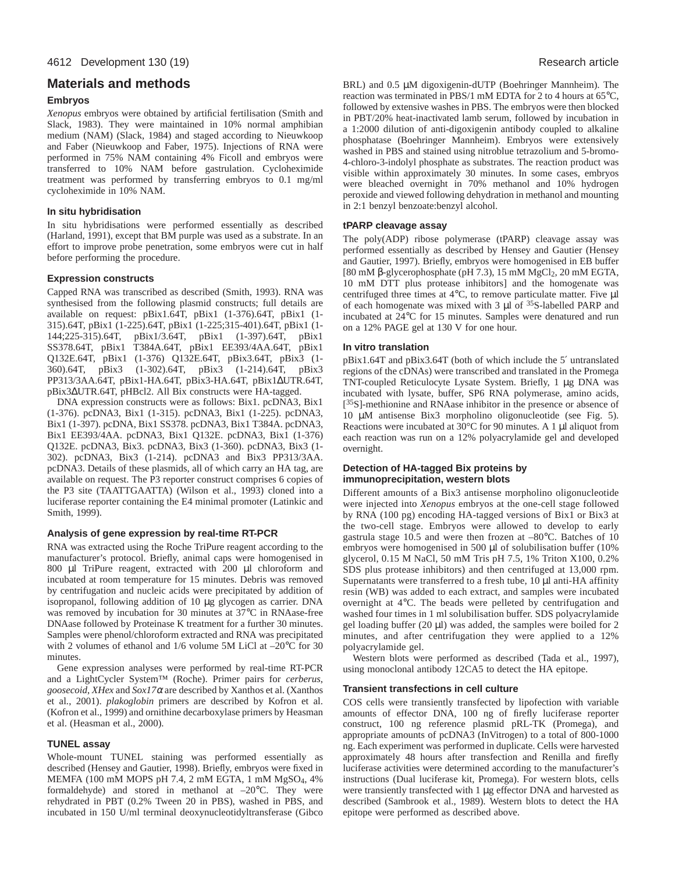# **Materials and methods**

### **Embryos**

*Xenopus* embryos were obtained by artificial fertilisation (Smith and Slack, 1983). They were maintained in 10% normal amphibian medium (NAM) (Slack, 1984) and staged according to Nieuwkoop and Faber (Nieuwkoop and Faber, 1975). Injections of RNA were performed in 75% NAM containing 4% Ficoll and embryos were transferred to 10% NAM before gastrulation. Cycloheximide treatment was performed by transferring embryos to 0.1 mg/ml cycloheximide in 10% NAM.

## **In situ hybridisation**

In situ hybridisations were performed essentially as described (Harland, 1991), except that BM purple was used as a substrate. In an effort to improve probe penetration, some embryos were cut in half before performing the procedure.

## **Expression constructs**

Capped RNA was transcribed as described (Smith, 1993). RNA was synthesised from the following plasmid constructs; full details are available on request: pBix1.64T, pBix1 (1-376).64T, pBix1 (1- 315).64T, pBix1 (1-225).64T, pBix1 (1-225;315-401).64T, pBix1 (1- 144;225-315).64T, pBix1/3.64T, pBix1 (1-397).64T, pBix1 SS378.64T, pBix1 T384A.64T, pBix1 EE393/4AA.64T, pBix1 Q132E.64T, pBix1 (1-376) Q132E.64T, pBix3.64T, pBix3 (1- 360).64T, pBix3 (1-302).64T, pBix3 (1-214).64T, pBix3 PP313/3AA.64T, pBix1-HA.64T, pBix3-HA.64T, pBix1∆UTR.64T, pBix3∆UTR.64T, pHBcl2. All Bix constructs were HA-tagged.

DNA expression constructs were as follows: Bix1. pcDNA3, Bix1 (1-376). pcDNA3, Bix1 (1-315). pcDNA3, Bix1 (1-225). pcDNA3, Bix1 (1-397). pcDNA, Bix1 SS378. pcDNA3, Bix1 T384A. pcDNA3, Bix1 EE393/4AA. pcDNA3, Bix1 Q132E. pcDNA3, Bix1 (1-376) Q132E. pcDNA3, Bix3. pcDNA3, Bix3 (1-360). pcDNA3, Bix3 (1- 302). pcDNA3, Bix3 (1-214). pcDNA3 and Bix3 PP313/3AA. pcDNA3. Details of these plasmids, all of which carry an HA tag, are available on request. The P3 reporter construct comprises 6 copies of the P3 site (TAATTGAATTA) (Wilson et al., 1993) cloned into a luciferase reporter containing the E4 minimal promoter (Latinkic and Smith, 1999).

## **Analysis of gene expression by real-time RT-PCR**

RNA was extracted using the Roche TriPure reagent according to the manufacturer's protocol. Briefly, animal caps were homogenised in 800 µl TriPure reagent, extracted with 200 µl chloroform and incubated at room temperature for 15 minutes. Debris was removed by centrifugation and nucleic acids were precipitated by addition of isopropanol, following addition of 10 µg glycogen as carrier. DNA was removed by incubation for 30 minutes at 37°C in RNAase-free DNAase followed by Proteinase K treatment for a further 30 minutes. Samples were phenol/chloroform extracted and RNA was precipitated with 2 volumes of ethanol and 1/6 volume 5M LiCl at –20°C for 30 minutes.

Gene expression analyses were performed by real-time RT-PCR and a LightCycler System™ (Roche). Primer pairs for *cerberus*, *goosecoid*, *XHex* and *Sox17*<sup>α</sup> are described by Xanthos et al. (Xanthos et al., 2001). *plakoglobin* primers are described by Kofron et al. (Kofron et al., 1999) and ornithine decarboxylase primers by Heasman et al. (Heasman et al., 2000).

#### **TUNEL assay**

Whole-mount TUNEL staining was performed essentially as described (Hensey and Gautier, 1998). Briefly, embryos were fixed in MEMFA (100 mM MOPS pH 7.4, 2 mM EGTA, 1 mM MgSO<sub>4</sub>, 4% formaldehyde) and stored in methanol at –20°C. They were rehydrated in PBT (0.2% Tween 20 in PBS), washed in PBS, and incubated in 150 U/ml terminal deoxynucleotidyltransferase (Gibco

BRL) and 0.5 µM digoxigenin-dUTP (Boehringer Mannheim). The reaction was terminated in PBS/1 mM EDTA for 2 to 4 hours at 65°C, followed by extensive washes in PBS. The embryos were then blocked in PBT/20% heat-inactivated lamb serum, followed by incubation in a 1:2000 dilution of anti-digoxigenin antibody coupled to alkaline phosphatase (Boehringer Mannheim). Embryos were extensively washed in PBS and stained using nitroblue tetrazolium and 5-bromo-4-chloro-3-indolyl phosphate as substrates. The reaction product was visible within approximately 30 minutes. In some cases, embryos were bleached overnight in 70% methanol and 10% hydrogen peroxide and viewed following dehydration in methanol and mounting in 2:1 benzyl benzoate:benzyl alcohol.

## **tPARP cleavage assay**

The poly(ADP) ribose polymerase (tPARP) cleavage assay was performed essentially as described by Hensey and Gautier (Hensey and Gautier, 1997). Briefly, embryos were homogenised in EB buffer [80 mM β-glycerophosphate (pH 7.3), 15 mM MgCl<sub>2</sub>, 20 mM EGTA, 10 mM DTT plus protease inhibitors] and the homogenate was centrifuged three times at  $4^{\circ}$ C, to remove particulate matter. Five  $\mu$ l of each homogenate was mixed with 3 µl of 35S-labelled PARP and incubated at 24°C for 15 minutes. Samples were denatured and run on a 12% PAGE gel at 130 V for one hour.

## **In vitro translation**

pBix1.64T and pBix3.64T (both of which include the 5′ untranslated regions of the cDNAs) were transcribed and translated in the Promega TNT-coupled Reticulocyte Lysate System. Briefly, 1 µg DNA was incubated with lysate, buffer, SP6 RNA polymerase, amino acids, [<sup>35</sup>S]-methionine and RNAase inhibitor in the presence or absence of 10 µM antisense Bix3 morpholino oligonucleotide (see Fig. 5). Reactions were incubated at 30°C for 90 minutes. A 1 µl aliquot from each reaction was run on a 12% polyacrylamide gel and developed overnight.

## **Detection of HA-tagged Bix proteins by immunoprecipitation, western blots**

Different amounts of a Bix3 antisense morpholino oligonucleotide were injected into *Xenopus* embryos at the one-cell stage followed by RNA (100 pg) encoding HA-tagged versions of Bix1 or Bix3 at the two-cell stage. Embryos were allowed to develop to early gastrula stage 10.5 and were then frozen at –80°C. Batches of 10 embryos were homogenised in 500 µl of solubilisation buffer (10%) glycerol, 0.15 M NaCl, 50 mM Tris pH 7.5, 1% Triton X100, 0.2% SDS plus protease inhibitors) and then centrifuged at 13,000 rpm. Supernatants were transferred to a fresh tube,  $10 \mu l$  anti-HA affinity resin (WB) was added to each extract, and samples were incubated overnight at 4°C. The beads were pelleted by centrifugation and washed four times in 1 ml solubilisation buffer. SDS polyacrylamide gel loading buffer (20  $\mu$ l) was added, the samples were boiled for 2 minutes, and after centrifugation they were applied to a 12% polyacrylamide gel.

Western blots were performed as described (Tada et al., 1997), using monoclonal antibody 12CA5 to detect the HA epitope.

## **Transient transfections in cell culture**

COS cells were transiently transfected by lipofection with variable amounts of effector DNA, 100 ng of firefly luciferase reporter construct, 100 ng reference plasmid pRL-TK (Promega), and appropriate amounts of pcDNA3 (InVitrogen) to a total of 800-1000 ng. Each experiment was performed in duplicate. Cells were harvested approximately 48 hours after transfection and Renilla and firefly luciferase activities were determined according to the manufacturer's instructions (Dual luciferase kit, Promega). For western blots, cells were transiently transfected with 1 µg effector DNA and harvested as described (Sambrook et al., 1989). Western blots to detect the HA epitope were performed as described above.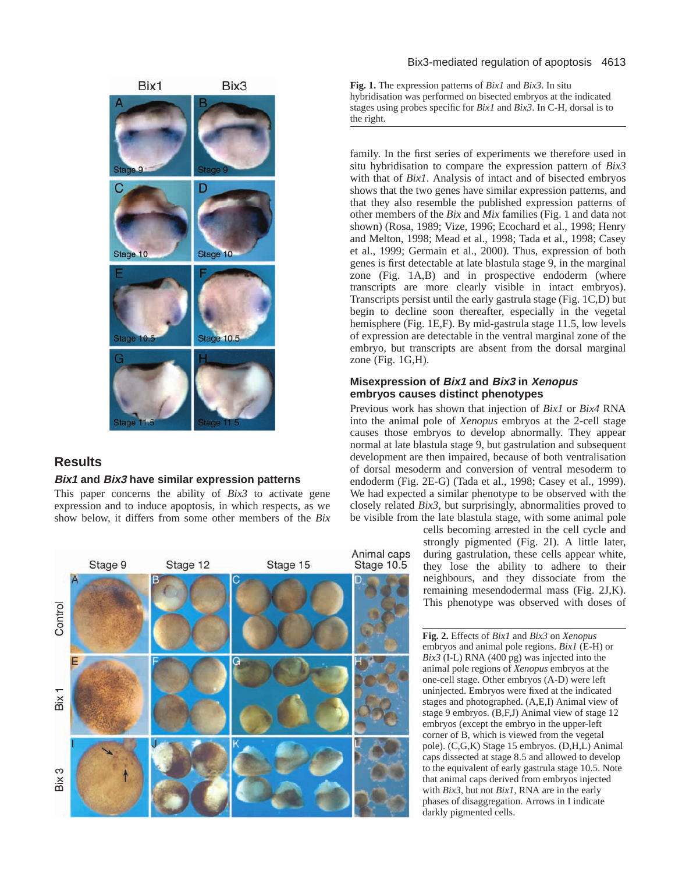

# **Results**

## **Bix1 and Bix3 have similar expression patterns**

This paper concerns the ability of *Bix3* to activate gene expression and to induce apoptosis, in which respects, as we show below, it differs from some other members of the *Bix*



#### Bix3-mediated regulation of apoptosis 4613

**Fig. 1.** The expression patterns of *Bix1* and *Bix3*. In situ hybridisation was performed on bisected embryos at the indicated stages using probes specific for *Bix1* and *Bix3*. In C-H, dorsal is to the right.

family. In the first series of experiments we therefore used in situ hybridisation to compare the expression pattern of *Bix3* with that of *Bix1*. Analysis of intact and of bisected embryos shows that the two genes have similar expression patterns, and that they also resemble the published expression patterns of other members of the *Bix* and *Mix* families (Fig. 1 and data not shown) (Rosa, 1989; Vize, 1996; Ecochard et al., 1998; Henry and Melton, 1998; Mead et al., 1998; Tada et al., 1998; Casey et al., 1999; Germain et al., 2000). Thus, expression of both genes is first detectable at late blastula stage 9, in the marginal zone (Fig. 1A,B) and in prospective endoderm (where transcripts are more clearly visible in intact embryos). Transcripts persist until the early gastrula stage (Fig. 1C,D) but begin to decline soon thereafter, especially in the vegetal hemisphere (Fig. 1E,F). By mid-gastrula stage 11.5, low levels of expression are detectable in the ventral marginal zone of the embryo, but transcripts are absent from the dorsal marginal zone (Fig. 1G,H).

## **Misexpression of Bix1 and Bix3 in Xenopus embryos causes distinct phenotypes**

Previous work has shown that injection of *Bix1* or *Bix4* RNA into the animal pole of *Xenopus* embryos at the 2-cell stage causes those embryos to develop abnormally. They appear normal at late blastula stage 9, but gastrulation and subsequent development are then impaired, because of both ventralisation of dorsal mesoderm and conversion of ventral mesoderm to endoderm (Fig. 2E-G) (Tada et al., 1998; Casey et al., 1999). We had expected a similar phenotype to be observed with the closely related *Bix3*, but surprisingly, abnormalities proved to be visible from the late blastula stage, with some animal pole

> cells becoming arrested in the cell cycle and strongly pigmented (Fig. 2I). A little later, during gastrulation, these cells appear white, they lose the ability to adhere to their neighbours, and they dissociate from the remaining mesendodermal mass (Fig. 2J,K). This phenotype was observed with doses of

**Fig. 2.** Effects of *Bix1* and *Bix3* on *Xenopus* embryos and animal pole regions. *Bix1* (E-H) or *Bix3* (I-L) RNA (400 pg) was injected into the animal pole regions of *Xenopus* embryos at the one-cell stage. Other embryos (A-D) were left uninjected. Embryos were fixed at the indicated stages and photographed. (A,E,I) Animal view of stage 9 embryos. (B,F,J) Animal view of stage 12 embryos (except the embryo in the upper-left corner of B, which is viewed from the vegetal pole). (C,G,K) Stage 15 embryos. (D,H,L) Animal caps dissected at stage 8.5 and allowed to develop to the equivalent of early gastrula stage 10.5. Note that animal caps derived from embryos injected with *Bix3*, but not *Bix1*, RNA are in the early phases of disaggregation. Arrows in I indicate darkly pigmented cells.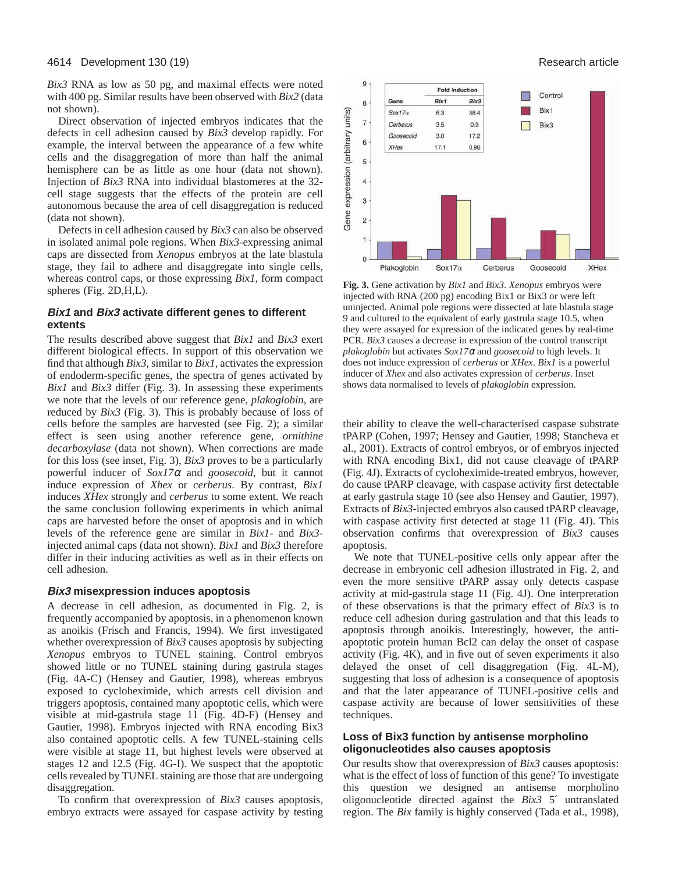*Bix3* RNA as low as 50 pg, and maximal effects were noted with 400 pg. Similar results have been observed with *Bix2* (data not shown).

Direct observation of injected embryos indicates that the defects in cell adhesion caused by *Bix3* develop rapidly. For example, the interval between the appearance of a few white cells and the disaggregation of more than half the animal hemisphere can be as little as one hour (data not shown). Injection of *Bix3* RNA into individual blastomeres at the 32 cell stage suggests that the effects of the protein are cell autonomous because the area of cell disaggregation is reduced (data not shown).

Defects in cell adhesion caused by *Bix3* can also be observed in isolated animal pole regions. When *Bix3*-expressing animal caps are dissected from *Xenopus* embryos at the late blastula stage, they fail to adhere and disaggregate into single cells, whereas control caps, or those expressing *Bix1*, form compact spheres (Fig. 2D,H,L).

## **Bix1 and Bix3 activate different genes to different extents**

The results described above suggest that *Bix1* and *Bix3* exert different biological effects. In support of this observation we find that although *Bix3*, similar to *Bix1*, activates the expression of endoderm-specific genes, the spectra of genes activated by *Bix1* and *Bix3* differ (Fig. 3). In assessing these experiments we note that the levels of our reference gene, *plakoglobin*, are reduced by *Bix3* (Fig. 3). This is probably because of loss of cells before the samples are harvested (see Fig. 2); a similar effect is seen using another reference gene, *ornithine decarboxylase* (data not shown). When corrections are made for this loss (see inset, Fig. 3), *Bix3* proves to be a particularly powerful inducer of *Sox17*<sup>α</sup> and *goosecoid*, but it cannot induce expression of *Xhex* or *cerberus*. By contrast, *Bix1* induces *XHex* strongly and *cerberus* to some extent. We reach the same conclusion following experiments in which animal caps are harvested before the onset of apoptosis and in which levels of the reference gene are similar in *Bix1*- and *Bix3* injected animal caps (data not shown). *Bix1* and *Bix3* therefore differ in their inducing activities as well as in their effects on cell adhesion.

#### **Bix3 misexpression induces apoptosis**

A decrease in cell adhesion, as documented in Fig. 2, is frequently accompanied by apoptosis, in a phenomenon known as anoikis (Frisch and Francis, 1994). We first investigated whether overexpression of *Bix3* causes apoptosis by subjecting *Xenopus* embryos to TUNEL staining. Control embryos showed little or no TUNEL staining during gastrula stages (Fig. 4A-C) (Hensey and Gautier, 1998), whereas embryos exposed to cycloheximide, which arrests cell division and triggers apoptosis, contained many apoptotic cells, which were visible at mid-gastrula stage 11 (Fig. 4D-F) (Hensey and Gautier, 1998). Embryos injected with RNA encoding Bix3 also contained apoptotic cells. A few TUNEL-staining cells were visible at stage 11, but highest levels were observed at stages 12 and 12.5 (Fig. 4G-I). We suspect that the apoptotic cells revealed by TUNEL staining are those that are undergoing disaggregation.

To confirm that overexpression of *Bix3* causes apoptosis, embryo extracts were assayed for caspase activity by testing



**Fig. 3.** Gene activation by *Bix1* and *Bix3*. *Xenopus* embryos were injected with RNA (200 pg) encoding Bix1 or Bix3 or were left uninjected. Animal pole regions were dissected at late blastula stage 9 and cultured to the equivalent of early gastrula stage 10.5, when they were assayed for expression of the indicated genes by real-time PCR. *Bix3* causes a decrease in expression of the control transcript *plakoglobin* but activates *Sox17*<sup>α</sup> and *goosecoid* to high levels. It does not induce expression of *cerberus* or *XHex*. *Bix1* is a powerful inducer of *Xhex* and also activates expression of *cerberus*. Inset shows data normalised to levels of *plakoglobin* expression.

their ability to cleave the well-characterised caspase substrate tPARP (Cohen, 1997; Hensey and Gautier, 1998; Stancheva et al., 2001). Extracts of control embryos, or of embryos injected with RNA encoding Bix1, did not cause cleavage of tPARP (Fig. 4J). Extracts of cycloheximide-treated embryos, however, do cause tPARP cleavage, with caspase activity first detectable at early gastrula stage 10 (see also Hensey and Gautier, 1997). Extracts of *Bix3*-injected embryos also caused tPARP cleavage, with caspase activity first detected at stage 11 (Fig. 4J). This observation confirms that overexpression of *Bix3* causes apoptosis.

We note that TUNEL-positive cells only appear after the decrease in embryonic cell adhesion illustrated in Fig. 2, and even the more sensitive tPARP assay only detects caspase activity at mid-gastrula stage 11 (Fig. 4J). One interpretation of these observations is that the primary effect of *Bix3* is to reduce cell adhesion during gastrulation and that this leads to apoptosis through anoikis. Interestingly, however, the antiapoptotic protein human Bcl2 can delay the onset of caspase activity (Fig. 4K), and in five out of seven experiments it also delayed the onset of cell disaggregation (Fig. 4L-M), suggesting that loss of adhesion is a consequence of apoptosis and that the later appearance of TUNEL-positive cells and caspase activity are because of lower sensitivities of these techniques.

## **Loss of Bix3 function by antisense morpholino oligonucleotides also causes apoptosis**

Our results show that overexpression of *Bix3* causes apoptosis: what is the effect of loss of function of this gene? To investigate this question we designed an antisense morpholino oligonucleotide directed against the *Bix3* 5′ untranslated region. The *Bix* family is highly conserved (Tada et al., 1998),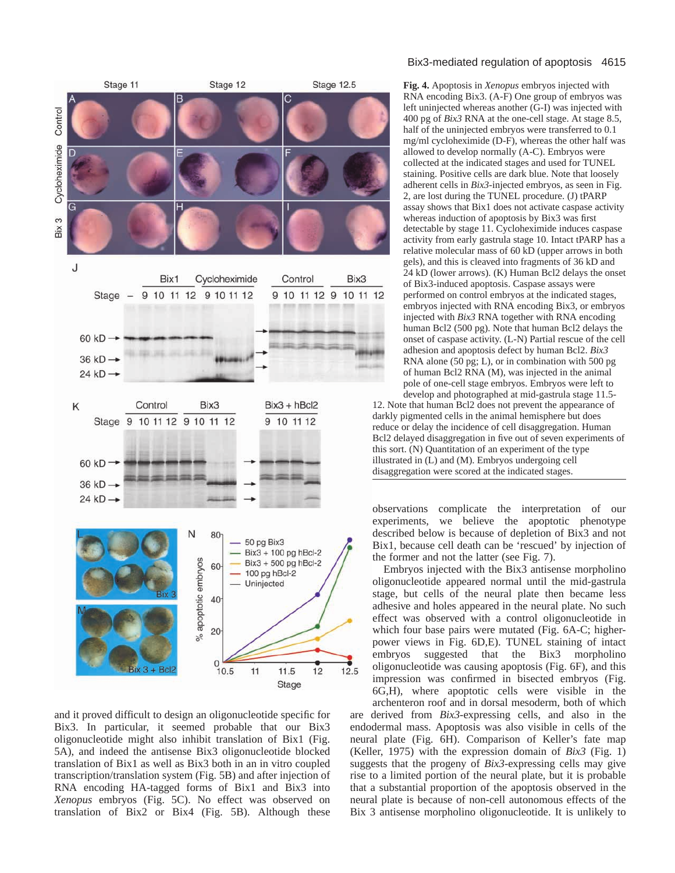

Control

and it proved difficult to design an oligonucleotide specific for Bix3. In particular, it seemed probable that our Bix3 oligonucleotide might also inhibit translation of Bix1 (Fig. 5A), and indeed the antisense Bix3 oligonucleotide blocked translation of Bix1 as well as Bix3 both in an in vitro coupled transcription/translation system (Fig. 5B) and after injection of RNA encoding HA-tagged forms of Bix1 and Bix3 into *Xenopus* embryos (Fig. 5C). No effect was observed on translation of Bix2 or Bix4 (Fig. 5B). Although these

#### Bix3-mediated regulation of apoptosis 4615

**Fig. 4.** Apoptosis in *Xenopus* embryos injected with RNA encoding Bix3. (A-F) One group of embryos was left uninjected whereas another (G-I) was injected with 400 pg of *Bix3* RNA at the one-cell stage. At stage 8.5, half of the uninjected embryos were transferred to 0.1 mg/ml cycloheximide (D-F), whereas the other half was allowed to develop normally (A-C). Embryos were collected at the indicated stages and used for TUNEL staining. Positive cells are dark blue. Note that loosely adherent cells in *Bix3*-injected embryos, as seen in Fig. 2, are lost during the TUNEL procedure. (J) tPARP assay shows that Bix1 does not activate caspase activity whereas induction of apoptosis by Bix3 was first detectable by stage 11. Cycloheximide induces caspase activity from early gastrula stage 10. Intact tPARP has a relative molecular mass of 60 kD (upper arrows in both gels), and this is cleaved into fragments of 36 kD and 24 kD (lower arrows). (K) Human Bcl2 delays the onset of Bix3-induced apoptosis. Caspase assays were performed on control embryos at the indicated stages, embryos injected with RNA encoding Bix3, or embryos injected with *Bix3* RNA together with RNA encoding human Bcl2 (500 pg). Note that human Bcl2 delays the onset of caspase activity. (L-N) Partial rescue of the cell adhesion and apoptosis defect by human Bcl2. *Bix3* RNA alone (50 pg; L), or in combination with 500 pg of human Bcl2 RNA (M), was injected in the animal pole of one-cell stage embryos. Embryos were left to develop and photographed at mid-gastrula stage 11.5-

12. Note that human Bcl2 does not prevent the appearance of darkly pigmented cells in the animal hemisphere but does reduce or delay the incidence of cell disaggregation. Human Bcl2 delayed disaggregation in five out of seven experiments of this sort. (N) Quantitation of an experiment of the type illustrated in (L) and (M). Embryos undergoing cell disaggregation were scored at the indicated stages.

observations complicate the interpretation of our experiments, we believe the apoptotic phenotype described below is because of depletion of Bix3 and not Bix1, because cell death can be 'rescued' by injection of the former and not the latter (see Fig. 7).

Embryos injected with the Bix3 antisense morpholino oligonucleotide appeared normal until the mid-gastrula stage, but cells of the neural plate then became less adhesive and holes appeared in the neural plate. No such effect was observed with a control oligonucleotide in which four base pairs were mutated (Fig. 6A-C; higherpower views in Fig. 6D,E). TUNEL staining of intact embryos suggested that the Bix3 morpholino oligonucleotide was causing apoptosis (Fig. 6F), and this impression was confirmed in bisected embryos (Fig. 6G,H), where apoptotic cells were visible in the archenteron roof and in dorsal mesoderm, both of which

are derived from *Bix3*-expressing cells, and also in the endodermal mass. Apoptosis was also visible in cells of the neural plate (Fig. 6H). Comparison of Keller's fate map (Keller, 1975) with the expression domain of *Bix3* (Fig. 1) suggests that the progeny of *Bix3*-expressing cells may give rise to a limited portion of the neural plate, but it is probable that a substantial proportion of the apoptosis observed in the neural plate is because of non-cell autonomous effects of the Bix 3 antisense morpholino oligonucleotide. It is unlikely to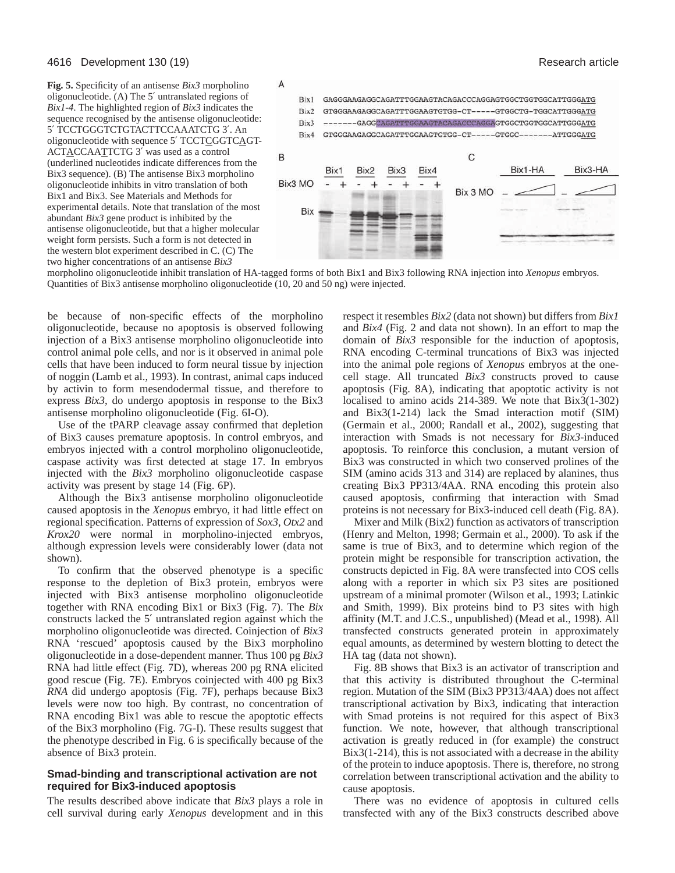**Fig. 5.** Specificity of an antisense *Bix3* morpholino oligonucleotide. (A) The 5′ untranslated regions of *Bix1-4*. The highlighted region of *Bix3* indicates the sequence recognised by the antisense oligonucleotide: 5′ TCCTGGGTCTGTACTTCCAAATCTG 3′. An oligonucleotide with sequence 5' TCCTCGGTCAGT-ACTACCAATTCTG 3′ was used as a control (underlined nucleotides indicate differences from the Bix3 sequence). (B) The antisense Bix3 morpholino oligonucleotide inhibits in vitro translation of both Bix1 and Bix3. See Materials and Methods for experimental details. Note that translation of the most abundant *Bix3* gene product is inhibited by the antisense oligonucleotide, but that a higher molecular weight form persists. Such a form is not detected in the western blot experiment described in C. (C) The two higher concentrations of an antisense *Bix3*



morpholino oligonucleotide inhibit translation of HA-tagged forms of both Bix1 and Bix3 following RNA injection into *Xenopus* embryos. Quantities of Bix3 antisense morpholino oligonucleotide (10, 20 and 50 ng) were injected.

be because of non-specific effects of the morpholino oligonucleotide, because no apoptosis is observed following injection of a Bix3 antisense morpholino oligonucleotide into control animal pole cells, and nor is it observed in animal pole cells that have been induced to form neural tissue by injection of noggin (Lamb et al., 1993). In contrast, animal caps induced by activin to form mesendodermal tissue, and therefore to express *Bix3*, do undergo apoptosis in response to the Bix3 antisense morpholino oligonucleotide (Fig. 6I-O).

Use of the tPARP cleavage assay confirmed that depletion of Bix3 causes premature apoptosis. In control embryos, and embryos injected with a control morpholino oligonucleotide, caspase activity was first detected at stage 17. In embryos injected with the *Bix3* morpholino oligonucleotide caspase activity was present by stage 14 (Fig. 6P).

Although the Bix3 antisense morpholino oligonucleotide caused apoptosis in the *Xenopus* embryo, it had little effect on regional specification. Patterns of expression of *Sox3*, *Otx2* and *Krox20* were normal in morpholino-injected embryos, although expression levels were considerably lower (data not shown).

To confirm that the observed phenotype is a specific response to the depletion of Bix3 protein, embryos were injected with Bix3 antisense morpholino oligonucleotide together with RNA encoding Bix1 or Bix3 (Fig. 7). The *Bix* constructs lacked the 5′ untranslated region against which the morpholino oligonucleotide was directed. Coinjection of *Bix3* RNA 'rescued' apoptosis caused by the Bix3 morpholino oligonucleotide in a dose-dependent manner. Thus 100 pg *Bix3* RNA had little effect (Fig. 7D), whereas 200 pg RNA elicited good rescue (Fig. 7E). Embryos coinjected with 400 pg Bix3 *RNA* did undergo apoptosis (Fig. 7F), perhaps because Bix3 levels were now too high. By contrast, no concentration of RNA encoding Bix1 was able to rescue the apoptotic effects of the Bix3 morpholino (Fig. 7G-I). These results suggest that the phenotype described in Fig. 6 is specifically because of the absence of Bix3 protein.

## **Smad-binding and transcriptional activation are not required for Bix3-induced apoptosis**

The results described above indicate that *Bix3* plays a role in cell survival during early *Xenopus* development and in this respect it resembles *Bix2* (data not shown) but differs from *Bix1* and *Bix4* (Fig. 2 and data not shown). In an effort to map the domain of *Bix3* responsible for the induction of apoptosis, RNA encoding C-terminal truncations of Bix3 was injected into the animal pole regions of *Xenopus* embryos at the onecell stage. All truncated *Bix3* constructs proved to cause apoptosis (Fig. 8A), indicating that apoptotic activity is not localised to amino acids 214-389. We note that Bix3(1-302) and Bix3(1-214) lack the Smad interaction motif (SIM) (Germain et al., 2000; Randall et al., 2002), suggesting that interaction with Smads is not necessary for *Bix3*-induced apoptosis. To reinforce this conclusion, a mutant version of Bix3 was constructed in which two conserved prolines of the SIM (amino acids 313 and 314) are replaced by alanines, thus creating Bix3 PP313/4AA. RNA encoding this protein also caused apoptosis, confirming that interaction with Smad proteins is not necessary for Bix3-induced cell death (Fig. 8A).

Mixer and Milk (Bix2) function as activators of transcription (Henry and Melton, 1998; Germain et al., 2000). To ask if the same is true of Bix3, and to determine which region of the protein might be responsible for transcription activation, the constructs depicted in Fig. 8A were transfected into COS cells along with a reporter in which six P3 sites are positioned upstream of a minimal promoter (Wilson et al., 1993; Latinkic and Smith, 1999). Bix proteins bind to P3 sites with high affinity (M.T. and J.C.S., unpublished) (Mead et al., 1998). All transfected constructs generated protein in approximately equal amounts, as determined by western blotting to detect the HA tag (data not shown).

Fig. 8B shows that Bix3 is an activator of transcription and that this activity is distributed throughout the C-terminal region. Mutation of the SIM (Bix3 PP313/4AA) does not affect transcriptional activation by Bix3, indicating that interaction with Smad proteins is not required for this aspect of Bix3 function. We note, however, that although transcriptional activation is greatly reduced in (for example) the construct Bix3(1-214), this is not associated with a decrease in the ability of the protein to induce apoptosis. There is, therefore, no strong correlation between transcriptional activation and the ability to cause apoptosis.

There was no evidence of apoptosis in cultured cells transfected with any of the Bix3 constructs described above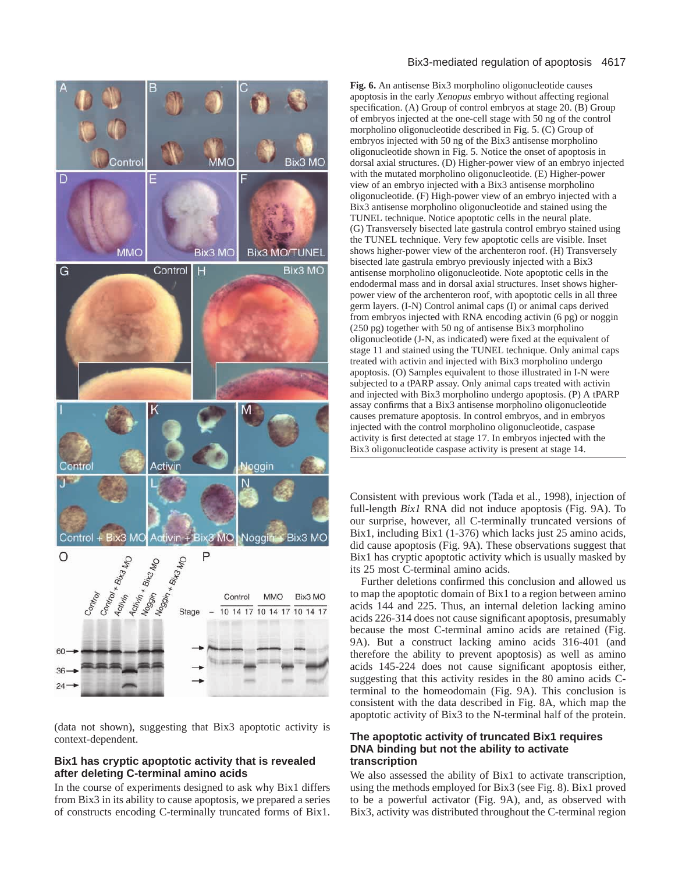

(data not shown), suggesting that Bix3 apoptotic activity is context-dependent.

## **Bix1 has cryptic apoptotic activity that is revealed after deleting C-terminal amino acids**

In the course of experiments designed to ask why Bix1 differs from Bix3 in its ability to cause apoptosis, we prepared a series of constructs encoding C-terminally truncated forms of Bix1.

#### Bix3-mediated regulation of apoptosis 4617

**Fig. 6.** An antisense Bix3 morpholino oligonucleotide causes apoptosis in the early *Xenopus* embryo without affecting regional specification. (A) Group of control embryos at stage 20. (B) Group of embryos injected at the one-cell stage with 50 ng of the control morpholino oligonucleotide described in Fig. 5. (C) Group of embryos injected with 50 ng of the Bix3 antisense morpholino oligonucleotide shown in Fig. 5. Notice the onset of apoptosis in dorsal axial structures. (D) Higher-power view of an embryo injected with the mutated morpholino oligonucleotide. (E) Higher-power view of an embryo injected with a Bix3 antisense morpholino oligonucleotide. (F) High-power view of an embryo injected with a Bix3 antisense morpholino oligonucleotide and stained using the TUNEL technique. Notice apoptotic cells in the neural plate. (G) Transversely bisected late gastrula control embryo stained using the TUNEL technique. Very few apoptotic cells are visible. Inset shows higher-power view of the archenteron roof. (H) Transversely bisected late gastrula embryo previously injected with a Bix3 antisense morpholino oligonucleotide. Note apoptotic cells in the endodermal mass and in dorsal axial structures. Inset shows higherpower view of the archenteron roof, with apoptotic cells in all three germ layers. (I-N) Control animal caps (I) or animal caps derived from embryos injected with RNA encoding activin (6 pg) or noggin (250 pg) together with 50 ng of antisense Bix3 morpholino oligonucleotide (J-N, as indicated) were fixed at the equivalent of stage 11 and stained using the TUNEL technique. Only animal caps treated with activin and injected with Bix3 morpholino undergo apoptosis. (O) Samples equivalent to those illustrated in I-N were subjected to a tPARP assay. Only animal caps treated with activin and injected with Bix3 morpholino undergo apoptosis. (P) A tPARP assay confirms that a Bix3 antisense morpholino oligonucleotide causes premature apoptosis. In control embryos, and in embryos injected with the control morpholino oligonucleotide, caspase activity is first detected at stage 17. In embryos injected with the Bix3 oligonucleotide caspase activity is present at stage 14.

Consistent with previous work (Tada et al., 1998), injection of full-length *Bix1* RNA did not induce apoptosis (Fig. 9A). To our surprise, however, all C-terminally truncated versions of Bix1, including Bix1 (1-376) which lacks just 25 amino acids, did cause apoptosis (Fig. 9A). These observations suggest that Bix1 has cryptic apoptotic activity which is usually masked by its 25 most C-terminal amino acids.

Further deletions confirmed this conclusion and allowed us to map the apoptotic domain of Bix1 to a region between amino acids 144 and 225. Thus, an internal deletion lacking amino acids 226-314 does not cause significant apoptosis, presumably because the most C-terminal amino acids are retained (Fig. 9A). But a construct lacking amino acids 316-401 (and therefore the ability to prevent apoptosis) as well as amino acids 145-224 does not cause significant apoptosis either, suggesting that this activity resides in the 80 amino acids Cterminal to the homeodomain (Fig. 9A). This conclusion is consistent with the data described in Fig. 8A, which map the apoptotic activity of Bix3 to the N-terminal half of the protein.

## **The apoptotic activity of truncated Bix1 requires DNA binding but not the ability to activate transcription**

We also assessed the ability of Bix1 to activate transcription, using the methods employed for Bix3 (see Fig. 8). Bix1 proved to be a powerful activator (Fig. 9A), and, as observed with Bix3, activity was distributed throughout the C-terminal region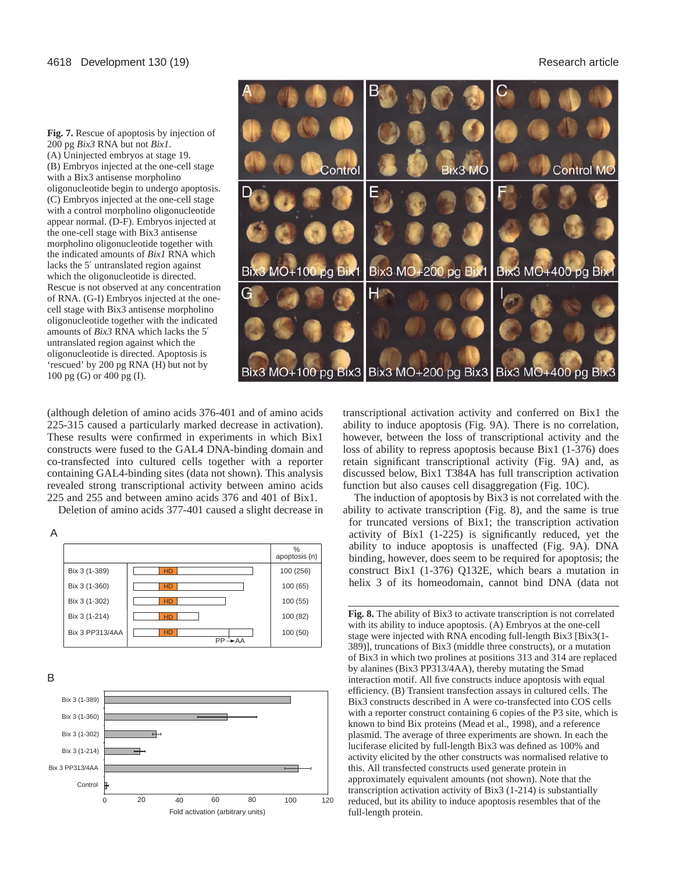**Fig. 7.** Rescue of apoptosis by injection of 200 pg *Bix3* RNA but not *Bix1*. (A) Uninjected embryos at stage 19. (B) Embryos injected at the one-cell stage with a Bix3 antisense morpholino oligonucleotide begin to undergo apoptosis. (C) Embryos injected at the one-cell stage with a control morpholino oligonucleotide appear normal. (D-F). Embryos injected at the one-cell stage with Bix3 antisense morpholino oligonucleotide together with the indicated amounts of *Bix1* RNA which lacks the 5′ untranslated region against which the oligonucleotide is directed. Rescue is not observed at any concentration of RNA. (G-I) Embryos injected at the onecell stage with Bix3 antisense morpholino oligonucleotide together with the indicated amounts of *Bix3* RNA which lacks the 5′ untranslated region against which the oligonucleotide is directed. Apoptosis is 'rescued' by 200 pg RNA (H) but not by 100 pg (G) or 400 pg (I).



(although deletion of amino acids 376-401 and of amino acids 225-315 caused a particularly marked decrease in activation). These results were confirmed in experiments in which Bix1 constructs were fused to the GAL4 DNA-binding domain and co-transfected into cultured cells together with a reporter containing GAL4-binding sites (data not shown). This analysis revealed strong transcriptional activity between amino acids 225 and 255 and between amino acids 376 and 401 of Bix1.

Deletion of amino acids 377-401 caused a slight decrease in





B



transcriptional activation activity and conferred on Bix1 the ability to induce apoptosis (Fig. 9A). There is no correlation, however, between the loss of transcriptional activity and the loss of ability to repress apoptosis because Bix1 (1-376) does retain significant transcriptional activity (Fig. 9A) and, as discussed below, Bix1 T384A has full transcription activation function but also causes cell disaggregation (Fig. 10C).

The induction of apoptosis by Bix3 is not correlated with the ability to activate transcription (Fig. 8), and the same is true for truncated versions of Bix1; the transcription activation activity of Bix1 (1-225) is significantly reduced, yet the ability to induce apoptosis is unaffected (Fig. 9A). DNA binding, however, does seem to be required for apoptosis; the construct Bix1 (1-376) Q132E, which bears a mutation in helix 3 of its homeodomain, cannot bind DNA (data not

**Fig. 8.** The ability of Bix3 to activate transcription is not correlated with its ability to induce apoptosis. (A) Embryos at the one-cell stage were injected with RNA encoding full-length Bix3 [Bix3(1- 389)], truncations of Bix3 (middle three constructs), or a mutation of Bix3 in which two prolines at positions 313 and 314 are replaced by alanines (Bix3 PP313/4AA), thereby mutating the Smad interaction motif. All five constructs induce apoptosis with equal efficiency. (B) Transient transfection assays in cultured cells. The Bix3 constructs described in A were co-transfected into COS cells with a reporter construct containing 6 copies of the P3 site, which is known to bind Bix proteins (Mead et al., 1998), and a reference plasmid. The average of three experiments are shown. In each the luciferase elicited by full-length Bix3 was defined as 100% and activity elicited by the other constructs was normalised relative to this. All transfected constructs used generate protein in approximately equivalent amounts (not shown). Note that the transcription activation activity of Bix3 (1-214) is substantially reduced, but its ability to induce apoptosis resembles that of the full-length protein.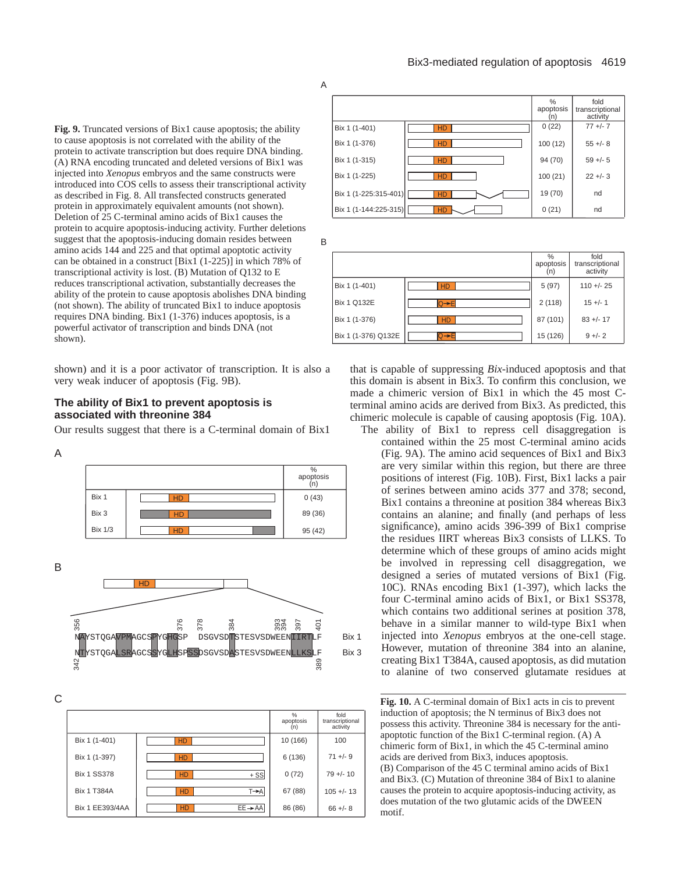A

**Fig. 9.** Truncated versions of Bix1 cause apoptosis; the ability to cause apoptosis is not correlated with the ability of the protein to activate transcription but does require DNA binding. (A) RNA encoding truncated and deleted versions of Bix1 was injected into *Xenopus* embryos and the same constructs were introduced into COS cells to assess their transcriptional activity as described in Fig. 8. All transfected constructs generated protein in approximately equivalent amounts (not shown). Deletion of 25 C-terminal amino acids of Bix1 causes the protein to acquire apoptosis-inducing activity. Further deletions suggest that the apoptosis-inducing domain resides between amino acids 144 and 225 and that optimal apoptotic activity can be obtained in a construct [Bix1 (1-225)] in which 78% of transcriptional activity is lost. (B) Mutation of Q132 to E reduces transcriptional activation, substantially decreases the ability of the protein to cause apoptosis abolishes DNA binding (not shown). The ability of truncated Bix1 to induce apoptosis requires DNA binding. Bix1 (1-376) induces apoptosis, is a powerful activator of transcription and binds DNA (not shown).

shown) and it is a poor activator of transcription. It is also a very weak inducer of apoptosis (Fig. 9B).

## **The ability of Bix1 to prevent apoptosis is associated with threonine 384**

Our results suggest that there is a C-terminal domain of Bix1

#### A



B



C

|                    |                                | %<br>apoptosis<br>(n) | fold<br>transcriptional<br>activity |
|--------------------|--------------------------------|-----------------------|-------------------------------------|
| Bix 1 (1-401)      | <b>HD</b>                      | 10 (166)              | 100                                 |
| Bix 1 (1-397)      | <b>HD</b>                      | 6 (136)               | $71 +/- 9$                          |
| <b>Bix 1 SS378</b> | $+$ SS<br><b>HD</b>            | 0(72)                 | $79 +/- 10$                         |
| <b>Bix 1 T384A</b> | $T \rightarrow A$<br><b>HD</b> | 67 (88)               | $105 +/- 13$                        |
| Bix 1 EE393/4AA    | $EE \rightarrow AA$<br>HD      | 86 (86)               | $66 + - 8$                          |



B

|                     |           | %<br>apoptosis<br>(n) | fold<br>transcriptional<br>activity |
|---------------------|-----------|-----------------------|-------------------------------------|
| Bix 1 (1-401)       | <b>HD</b> | 5(97)                 | $110 + - 25$                        |
| <b>Bix 1 Q132E</b>  | 'Q→El     | 2(118)                | $15 +/- 1$                          |
| Bix 1 (1-376)       | <b>HD</b> | 87 (101)              | $83 +/- 17$                         |
| Bix 1 (1-376) Q132E | Q→Fi      | 15 (126)              | $9 + - 2$                           |

that is capable of suppressing *Bix*-induced apoptosis and that this domain is absent in Bix3. To confirm this conclusion, we made a chimeric version of Bix1 in which the 45 most Cterminal amino acids are derived from Bix3. As predicted, this chimeric molecule is capable of causing apoptosis (Fig. 10A).

The ability of Bix1 to repress cell disaggregation is contained within the 25 most C-terminal amino acids (Fig. 9A). The amino acid sequences of Bix1 and Bix3 are very similar within this region, but there are three positions of interest (Fig. 10B). First, Bix1 lacks a pair of serines between amino acids 377 and 378; second, Bix1 contains a threonine at position 384 whereas Bix3 contains an alanine; and finally (and perhaps of less significance), amino acids 396-399 of Bix1 comprise the residues IIRT whereas Bix3 consists of LLKS. To determine which of these groups of amino acids might be involved in repressing cell disaggregation, we designed a series of mutated versions of Bix1 (Fig. 10C). RNAs encoding Bix1 (1-397), which lacks the four C-terminal amino acids of Bix1, or Bix1 SS378, which contains two additional serines at position 378, behave in a similar manner to wild-type Bix1 when injected into *Xenopus* embryos at the one-cell stage. However, mutation of threonine 384 into an alanine, creating Bix1 T384A, caused apoptosis, as did mutation to alanine of two conserved glutamate residues at

**Fig. 10.** A C-terminal domain of Bix1 acts in cis to prevent induction of apoptosis; the N terminus of Bix3 does not possess this activity. Threonine 384 is necessary for the antiapoptotic function of the Bix1 C-terminal region. (A) A chimeric form of Bix1, in which the 45 C-terminal amino acids are derived from Bix3, induces apoptosis. (B) Comparison of the 45 C terminal amino acids of Bix1 and Bix3. (C) Mutation of threonine 384 of Bix1 to alanine causes the protein to acquire apoptosis-inducing activity, as does mutation of the two glutamic acids of the DWEEN motif.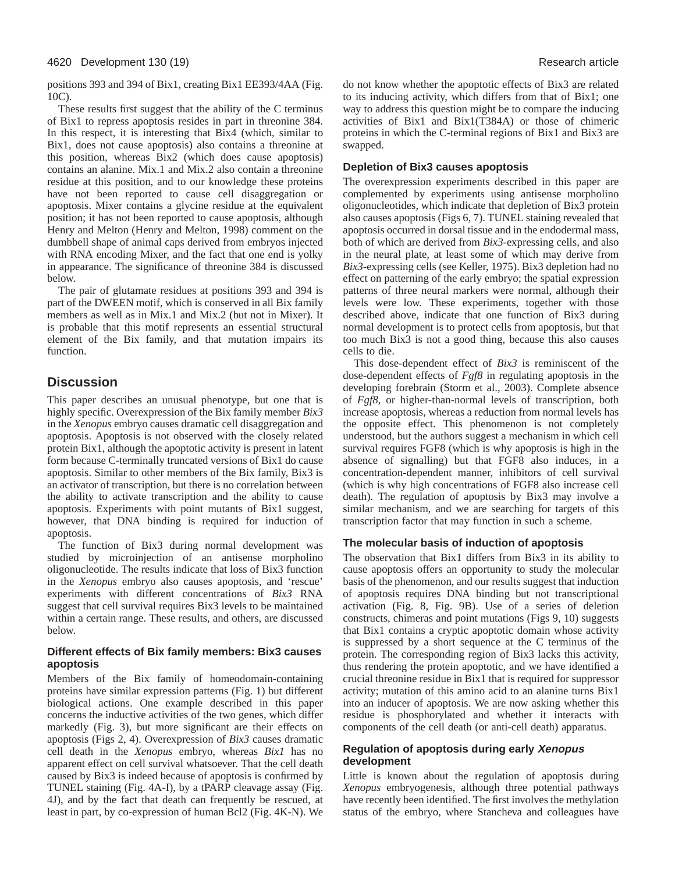positions 393 and 394 of Bix1, creating Bix1 EE393/4AA (Fig. 10C).

These results first suggest that the ability of the C terminus of Bix1 to repress apoptosis resides in part in threonine 384. In this respect, it is interesting that Bix4 (which, similar to Bix1, does not cause apoptosis) also contains a threonine at this position, whereas Bix2 (which does cause apoptosis) contains an alanine. Mix.1 and Mix.2 also contain a threonine residue at this position, and to our knowledge these proteins have not been reported to cause cell disaggregation or apoptosis. Mixer contains a glycine residue at the equivalent position; it has not been reported to cause apoptosis, although Henry and Melton (Henry and Melton, 1998) comment on the dumbbell shape of animal caps derived from embryos injected with RNA encoding Mixer, and the fact that one end is yolky in appearance. The significance of threonine 384 is discussed below.

The pair of glutamate residues at positions 393 and 394 is part of the DWEEN motif, which is conserved in all Bix family members as well as in Mix.1 and Mix.2 (but not in Mixer). It is probable that this motif represents an essential structural element of the Bix family, and that mutation impairs its function.

# **Discussion**

This paper describes an unusual phenotype, but one that is highly specific. Overexpression of the Bix family member *Bix3* in the *Xenopus* embryo causes dramatic cell disaggregation and apoptosis. Apoptosis is not observed with the closely related protein Bix1, although the apoptotic activity is present in latent form because C-terminally truncated versions of Bix1 do cause apoptosis. Similar to other members of the Bix family, Bix3 is an activator of transcription, but there is no correlation between the ability to activate transcription and the ability to cause apoptosis. Experiments with point mutants of Bix1 suggest, however, that DNA binding is required for induction of apoptosis.

The function of Bix3 during normal development was studied by microinjection of an antisense morpholino oligonucleotide. The results indicate that loss of Bix3 function in the *Xenopus* embryo also causes apoptosis, and 'rescue' experiments with different concentrations of *Bix3* RNA suggest that cell survival requires Bix3 levels to be maintained within a certain range. These results, and others, are discussed below.

## **Different effects of Bix family members: Bix3 causes apoptosis**

Members of the Bix family of homeodomain-containing proteins have similar expression patterns (Fig. 1) but different biological actions. One example described in this paper concerns the inductive activities of the two genes, which differ markedly (Fig. 3), but more significant are their effects on apoptosis (Figs 2, 4). Overexpression of *Bix3* causes dramatic cell death in the *Xenopus* embryo, whereas *Bix1* has no apparent effect on cell survival whatsoever. That the cell death caused by Bix3 is indeed because of apoptosis is confirmed by TUNEL staining (Fig. 4A-I), by a tPARP cleavage assay (Fig. 4J), and by the fact that death can frequently be rescued, at least in part, by co-expression of human Bcl2 (Fig. 4K-N). We

do not know whether the apoptotic effects of Bix3 are related to its inducing activity, which differs from that of Bix1; one way to address this question might be to compare the inducing activities of Bix1 and Bix1(T384A) or those of chimeric proteins in which the C-terminal regions of Bix1 and Bix3 are swapped.

## **Depletion of Bix3 causes apoptosis**

The overexpression experiments described in this paper are complemented by experiments using antisense morpholino oligonucleotides, which indicate that depletion of Bix3 protein also causes apoptosis (Figs 6, 7). TUNEL staining revealed that apoptosis occurred in dorsal tissue and in the endodermal mass, both of which are derived from *Bix3*-expressing cells, and also in the neural plate, at least some of which may derive from *Bix3*-expressing cells (see Keller, 1975). Bix3 depletion had no effect on patterning of the early embryo; the spatial expression patterns of three neural markers were normal, although their levels were low. These experiments, together with those described above, indicate that one function of Bix3 during normal development is to protect cells from apoptosis, but that too much Bix3 is not a good thing, because this also causes cells to die.

This dose-dependent effect of *Bix3* is reminiscent of the dose-dependent effects of *Fgf8* in regulating apoptosis in the developing forebrain (Storm et al., 2003). Complete absence of *Fgf8*, or higher-than-normal levels of transcription, both increase apoptosis, whereas a reduction from normal levels has the opposite effect. This phenomenon is not completely understood, but the authors suggest a mechanism in which cell survival requires FGF8 (which is why apoptosis is high in the absence of signalling) but that FGF8 also induces, in a concentration-dependent manner, inhibitors of cell survival (which is why high concentrations of FGF8 also increase cell death). The regulation of apoptosis by Bix3 may involve a similar mechanism, and we are searching for targets of this transcription factor that may function in such a scheme.

## **The molecular basis of induction of apoptosis**

The observation that Bix1 differs from Bix3 in its ability to cause apoptosis offers an opportunity to study the molecular basis of the phenomenon, and our results suggest that induction of apoptosis requires DNA binding but not transcriptional activation (Fig. 8, Fig. 9B). Use of a series of deletion constructs, chimeras and point mutations (Figs 9, 10) suggests that Bix1 contains a cryptic apoptotic domain whose activity is suppressed by a short sequence at the C terminus of the protein. The corresponding region of Bix3 lacks this activity, thus rendering the protein apoptotic, and we have identified a crucial threonine residue in Bix1 that is required for suppressor activity; mutation of this amino acid to an alanine turns Bix1 into an inducer of apoptosis. We are now asking whether this residue is phosphorylated and whether it interacts with components of the cell death (or anti-cell death) apparatus.

## **Regulation of apoptosis during early Xenopus development**

Little is known about the regulation of apoptosis during *Xenopus* embryogenesis, although three potential pathways have recently been identified. The first involves the methylation status of the embryo, where Stancheva and colleagues have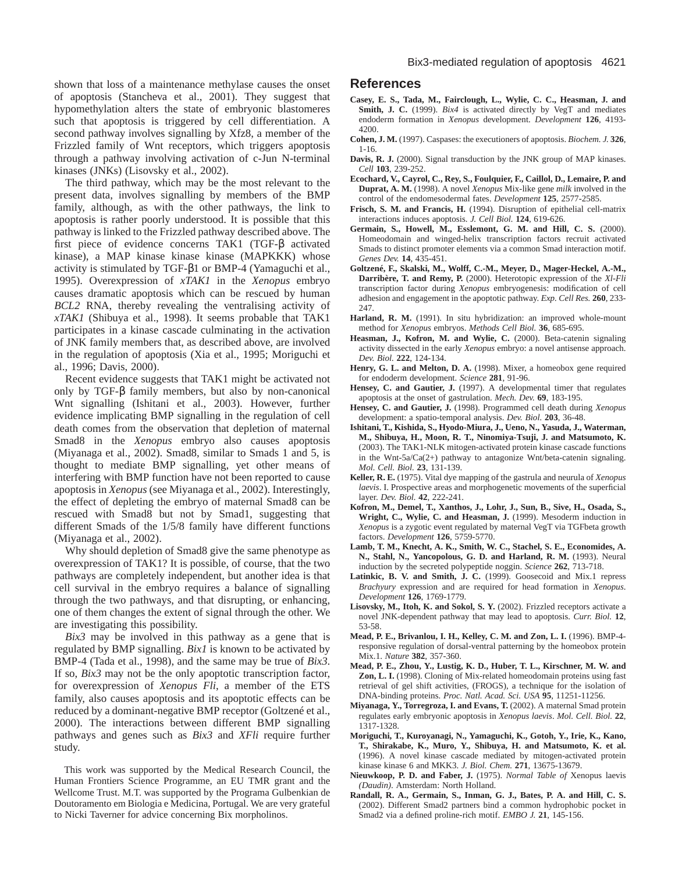shown that loss of a maintenance methylase causes the onset of apoptosis (Stancheva et al., 2001). They suggest that hypomethylation alters the state of embryonic blastomeres such that apoptosis is triggered by cell differentiation. A second pathway involves signalling by Xfz8, a member of the Frizzled family of Wnt receptors, which triggers apoptosis through a pathway involving activation of c-Jun N-terminal kinases (JNKs) (Lisovsky et al., 2002).

The third pathway, which may be the most relevant to the present data, involves signalling by members of the BMP family, although, as with the other pathways, the link to apoptosis is rather poorly understood. It is possible that this pathway is linked to the Frizzled pathway described above. The first piece of evidence concerns TAK1 (TGF-β activated kinase), a MAP kinase kinase kinase (MAPKKK) whose activity is stimulated by TGF-β1 or BMP-4 (Yamaguchi et al., 1995). Overexpression of *xTAK1* in the *Xenopus* embryo causes dramatic apoptosis which can be rescued by human *BCL2* RNA, thereby revealing the ventralising activity of *xTAK1* (Shibuya et al., 1998). It seems probable that TAK1 participates in a kinase cascade culminating in the activation of JNK family members that, as described above, are involved in the regulation of apoptosis (Xia et al., 1995; Moriguchi et al., 1996; Davis, 2000).

Recent evidence suggests that TAK1 might be activated not only by TGF-β family members, but also by non-canonical Wnt signalling (Ishitani et al., 2003). However, further evidence implicating BMP signalling in the regulation of cell death comes from the observation that depletion of maternal Smad8 in the *Xenopus* embryo also causes apoptosis (Miyanaga et al., 2002). Smad8, similar to Smads 1 and 5, is thought to mediate BMP signalling, yet other means of interfering with BMP function have not been reported to cause apoptosis in *Xenopus* (see Miyanaga et al., 2002). Interestingly, the effect of depleting the embryo of maternal Smad8 can be rescued with Smad8 but not by Smad1, suggesting that different Smads of the 1/5/8 family have different functions (Miyanaga et al., 2002).

Why should depletion of Smad8 give the same phenotype as overexpression of TAK1? It is possible, of course, that the two pathways are completely independent, but another idea is that cell survival in the embryo requires a balance of signalling through the two pathways, and that disrupting, or enhancing, one of them changes the extent of signal through the other. We are investigating this possibility.

*Bix3* may be involved in this pathway as a gene that is regulated by BMP signalling. *Bix1* is known to be activated by BMP-4 (Tada et al., 1998), and the same may be true of *Bix3*. If so, *Bix3* may not be the only apoptotic transcription factor, for overexpression of *Xenopus Fli*, a member of the ETS family, also causes apoptosis and its apoptotic effects can be reduced by a dominant-negative BMP receptor (Goltzené et al., 2000). The interactions between different BMP signalling pathways and genes such as *Bix3* and *XFli* require further study.

This work was supported by the Medical Research Council, the Human Frontiers Science Programme, an EU TMR grant and the Wellcome Trust. M.T. was supported by the Programa Gulbenkian de Doutoramento em Biologia e Medicina, Portugal. We are very grateful to Nicki Taverner for advice concerning Bix morpholinos.

## **References**

- **Casey, E. S., Tada, M., Fairclough, L., Wylie, C. C., Heasman, J. and Smith, J. C.** (1999). *Bix4* is activated directly by VegT and mediates endoderm formation in *Xenopus* development. *Development* **126**, 4193- 4200.
- **Cohen, J. M.** (1997). Caspases: the executioners of apoptosis. *Biochem. J.* **326**, 1-16.
- **Davis, R. J.** (2000). Signal transduction by the JNK group of MAP kinases. *Cell* **103**, 239-252.
- **Ecochard, V., Cayrol, C., Rey, S., Foulquier, F., Caillol, D., Lemaire, P. and Duprat, A. M.** (1998). A novel *Xenopus* Mix-like gene *milk* involved in the control of the endomesodermal fates. *Development* **125**, 2577-2585.
- **Frisch, S. M. and Francis, H.** (1994). Disruption of epithelial cell-matrix interactions induces apoptosis. *J. Cell Biol.* **124**, 619-626.
- **Germain, S., Howell, M., Esslemont, G. M. and Hill, C. S.** (2000). Homeodomain and winged-helix transcription factors recruit activated Smads to distinct promoter elements via a common Smad interaction motif. *Genes Dev.* **14**, 435-451.
- **Goltzené, F., Skalski, M., Wolff, C.-M., Meyer, D., Mager-Heckel, A.-M., Darribère, T. and Remy, P.** (2000). Heterotopic expression of the *Xl-Fli* transcription factor during *Xenopus* embryogenesis: modification of cell adhesion and engagement in the apoptotic pathway. *Exp. Cell Res.* **260**, 233- 247.
- **Harland, R. M.** (1991). In situ hybridization: an improved whole-mount method for *Xenopus* embryos. *Methods Cell Biol.* **36**, 685-695.
- **Heasman, J., Kofron, M. and Wylie, C.** (2000). Beta-catenin signaling activity dissected in the early *Xenopus* embryo: a novel antisense approach. *Dev. Biol.* **222**, 124-134.
- **Henry, G. L. and Melton, D. A.** (1998). Mixer, a homeobox gene required for endoderm development. *Science* **281**, 91-96.
- **Hensey, C. and Gautier, J.** (1997). A developmental timer that regulates apoptosis at the onset of gastrulation. *Mech. Dev.* **69**, 183-195.
- **Hensey, C. and Gautier, J.** (1998). Programmed cell death during *Xenopus* development: a spatio-temporal analysis. *Dev. Biol.* **203**, 36-48.
- **Ishitani, T., Kishida, S., Hyodo-Miura, J., Ueno, N., Yasuda, J., Waterman, M., Shibuya, H., Moon, R. T., Ninomiya-Tsuji, J. and Matsumoto, K.** (2003). The TAK1-NLK mitogen-activated protein kinase cascade functions in the Wnt-5a/Ca(2+) pathway to antagonize Wnt/beta-catenin signaling. *Mol. Cell. Biol.* **23**, 131-139.
- **Keller, R. E.** (1975). Vital dye mapping of the gastrula and neurula of *Xenopus laevis*. I. Prospective areas and morphogenetic movements of the superficial layer. *Dev. Biol.* **42**, 222-241.
- **Kofron, M., Demel, T., Xanthos, J., Lohr, J., Sun, B., Sive, H., Osada, S., Wright, C., Wylie, C. and Heasman, J.** (1999). Mesoderm induction in *Xenopus* is a zygotic event regulated by maternal VegT via TGFbeta growth factors. *Development* **126**, 5759-5770.
- **Lamb, T. M., Knecht, A. K., Smith, W. C., Stachel, S. E., Economides, A. N., Stahl, N., Yancopolous, G. D. and Harland, R. M.** (1993). Neural induction by the secreted polypeptide noggin. *Science* **262**, 713-718.
- **Latinkic, B. V. and Smith, J. C.** (1999). Goosecoid and Mix.1 repress *Brachyury* expression and are required for head formation in *Xenopus*. *Development* **126**, 1769-1779.
- **Lisovsky, M., Itoh, K. and Sokol, S. Y.** (2002). Frizzled receptors activate a novel JNK-dependent pathway that may lead to apoptosis. *Curr. Biol.* **12**, 53-58.
- **Mead, P. E., Brivanlou, I. H., Kelley, C. M. and Zon, L. I.** (1996). BMP-4 responsive regulation of dorsal-ventral patterning by the homeobox protein Mix.1. *Nature* **382**, 357-360.
- **Mead, P. E., Zhou, Y., Lustig, K. D., Huber, T. L., Kirschner, M. W. and Zon, L. I.** (1998). Cloning of Mix-related homeodomain proteins using fast retrieval of gel shift activities, (FROGS), a technique for the isolation of DNA-binding proteins. *Proc. Natl. Acad. Sci. USA* **95**, 11251-11256.
- **Miyanaga, Y., Torregroza, I. and Evans, T.** (2002). A maternal Smad protein regulates early embryonic apoptosis in *Xenopus laevis*. *Mol. Cell. Biol.* **22**, 1317-1328.
- **Moriguchi, T., Kuroyanagi, N., Yamaguchi, K., Gotoh, Y., Irie, K., Kano, T., Shirakabe, K., Muro, Y., Shibuya, H. and Matsumoto, K. et al.** (1996). A novel kinase cascade mediated by mitogen-activated protein kinase kinase 6 and MKK3. *J. Biol. Chem.* **271**, 13675-13679.
- **Nieuwkoop, P. D. and Faber, J.** (1975). *Normal Table of* Xenopus laevis *(Daudin)*. Amsterdam: North Holland.
- **Randall, R. A., Germain, S., Inman, G. J., Bates, P. A. and Hill, C. S.** (2002). Different Smad2 partners bind a common hydrophobic pocket in Smad2 via a defined proline-rich motif. *EMBO J.* **21**, 145-156.